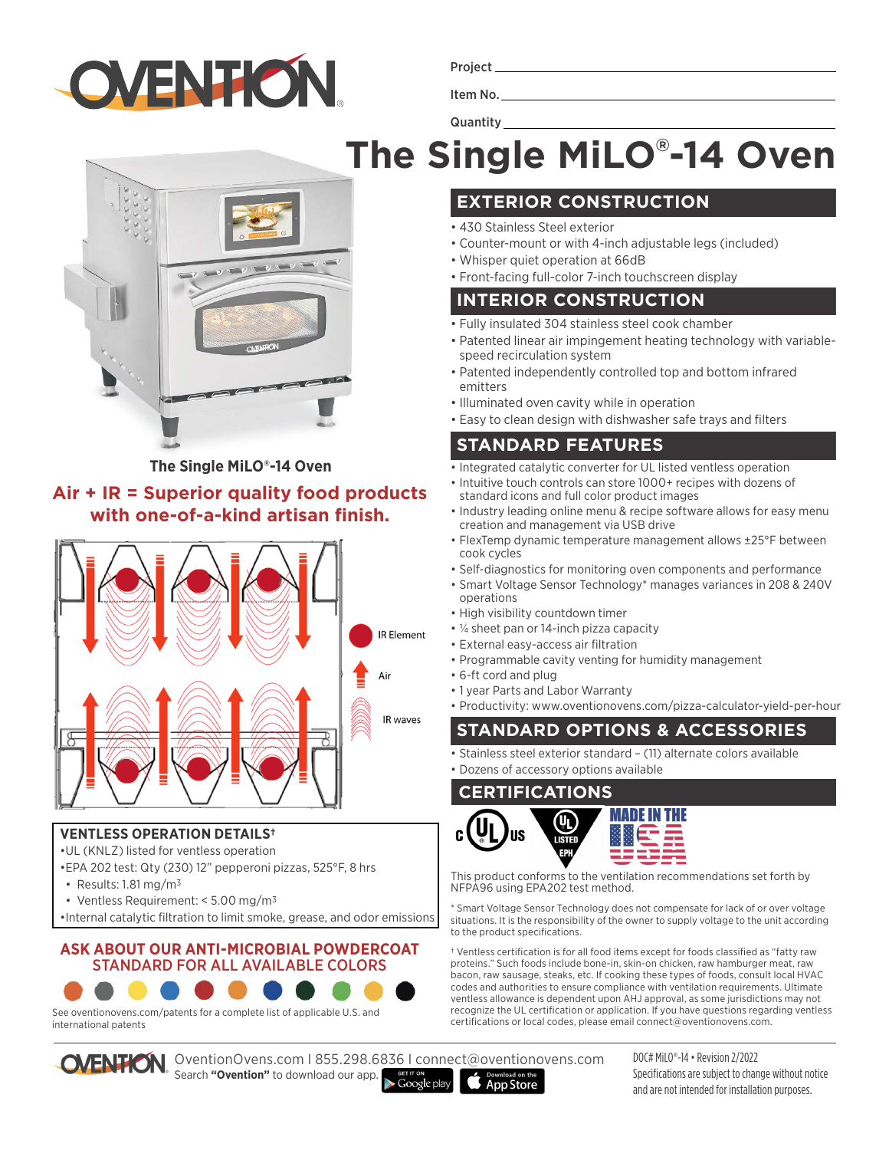

Project

Item No.

**Quantity** 

# **The Single MiLO® -14 Oven**

**The Single MiLO®-14 Oven**

#### **Air + IR = Superior quality food products with one-of-a-kind artisan finish.**



#### **VENTLESS OPERATION DETAILS†**

- •UL (KNLZ) listed for ventless operation
- •EPA 202 test: Qty (230) 12" pepperoni pizzas, 525°F, 8 hrs
- Results: 1.81 mg/m3
- Ventless Requirement: < 5.00 mg/m3
- •Internal catalytic filtration to limit smoke, grease, and odor emissions

#### **ASK ABOUT OUR ANTI-MICROBIAL POWDERCOAT**  STANDARD FOR ALL AVAILABLE COLORS



See oventionovens.com/patents for a complete list of applicable U.S. and international patents

OventionOvens.com I 855.298.6836 I connect@oventionovens.com

**EXTERIOR CONSTRUCTION**

- 430 Stainless Steel exterior
- Counter-mount or with 4-inch adjustable legs (included)
- Whisper quiet operation at 66dB
- Front-facing full-color 7-inch touchscreen display

#### **INTERIOR CONSTRUCTION**

- Fully insulated 304 stainless steel cook chamber
- Patented linear air impingement heating technology with variablespeed recirculation system
- Patented independently controlled top and bottom infrared emitters
- Illuminated oven cavity while in operation
- Easy to clean design with dishwasher safe trays and filters

#### **STANDARD FEATURES**

- Integrated catalytic converter for UL listed ventless operation
- Intuitive touch controls can store 1000+ recipes with dozens of standard icons and full color product images
- Industry leading online menu & recipe software allows for easy menu creation and management via USB drive
- FlexTemp dynamic temperature management allows ±25°F between cook cycles
- Self-diagnostics for monitoring oven components and performance
- Smart Voltage Sensor Technology\* manages variances in 208 & 240V operations
- High visibility countdown timer
- ¼ sheet pan or 14-inch pizza capacity
- External easy-access air filtration
- Programmable cavity venting for humidity management
- 6-ft cord and plug
- 1 year Parts and Labor Warranty
- Productivity: www.oventionovens.com/pizza-calculator-yield-per-hour

### **STANDARD OPTIONS & ACCESSORIES**

• Stainless steel exterior standard – (11) alternate colors available • Dozens of accessory options available

#### **CERTIFICATIONS**



This product conforms to the ventilation recommendations set forth by NFPA96 using EPA202 test method.

\* Smart Voltage Sensor Technology does not compensate for lack of or over voltage situations. It is the responsibility of the owner to supply voltage to the unit according to the product specifications.

† Ventless certification is for all food items except for foods classified as "fatty raw proteins." Such foods include bone-in, skin-on chicken, raw hamburger meat, raw bacon, raw sausage, steaks, etc. If cooking these types of foods, consult local HVAC codes and authorities to ensure compliance with ventilation requirements. Ultimate ventless allowance is dependent upon AHJ approval, as some jurisdictions may not recognize the UL certification or application. If you have questions regarding ventless certifications or local codes, please email connect@oventionovens.com.

Search **"Ovention"** to download our app.  $\blacktriangleright$  Google play **App Store**  DOC# MiLO®-14 • Revision 2/2022 Specifications are subject to change without notice and are not intended for installation purposes.